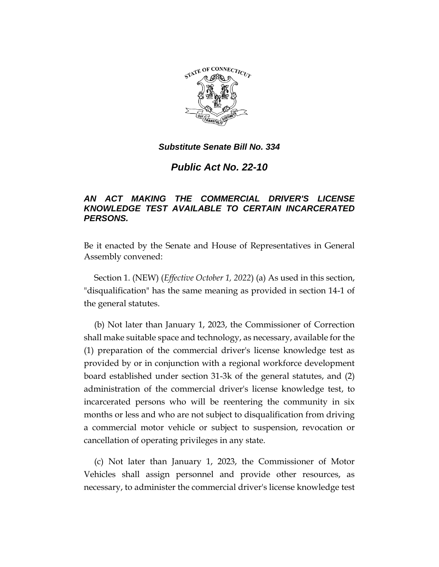

## *Substitute Senate Bill No. 334*

*Public Act No. 22-10*

## *AN ACT MAKING THE COMMERCIAL DRIVER'S LICENSE KNOWLEDGE TEST AVAILABLE TO CERTAIN INCARCERATED PERSONS.*

Be it enacted by the Senate and House of Representatives in General Assembly convened:

Section 1. (NEW) (*Effective October 1, 2022*) (a) As used in this section, "disqualification" has the same meaning as provided in section 14-1 of the general statutes.

(b) Not later than January 1, 2023, the Commissioner of Correction shall make suitable space and technology, as necessary, available for the (1) preparation of the commercial driver's license knowledge test as provided by or in conjunction with a regional workforce development board established under section 31-3k of the general statutes, and (2) administration of the commercial driver's license knowledge test, to incarcerated persons who will be reentering the community in six months or less and who are not subject to disqualification from driving a commercial motor vehicle or subject to suspension, revocation or cancellation of operating privileges in any state.

(c) Not later than January 1, 2023, the Commissioner of Motor Vehicles shall assign personnel and provide other resources, as necessary, to administer the commercial driver's license knowledge test